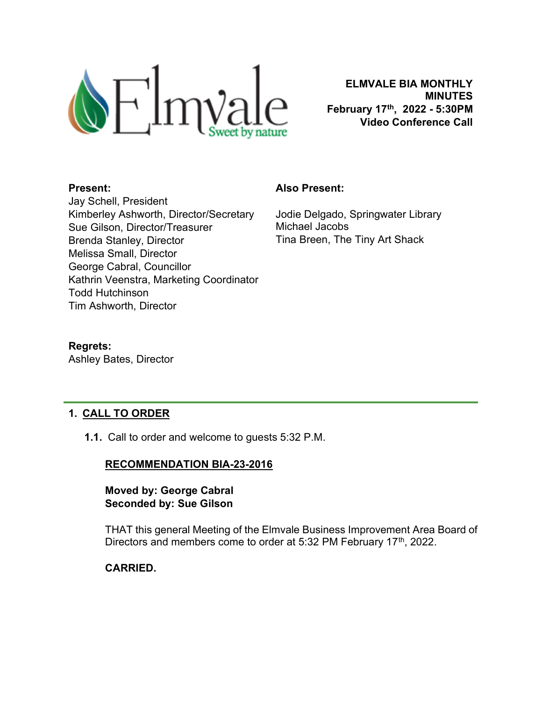

ELMVALE BIA MONTHLY MINUTES February 17th, 2022 - 5:30PM Video Conference Call

#### Present:

Jay Schell, President Kimberley Ashworth, Director/Secretary Sue Gilson, Director/Treasurer Brenda Stanley, Director Melissa Small, Director George Cabral, Councillor Kathrin Veenstra, Marketing Coordinator Todd Hutchinson Tim Ashworth, Director

#### Also Present:

Jodie Delgado, Springwater Library Michael Jacobs Tina Breen, The Tiny Art Shack

Regrets: Ashley Bates, Director

# 1. CALL TO ORDER

1.1. Call to order and welcome to guests 5:32 P.M.

# RECOMMENDATION BIA-23-2016

### Moved by: George Cabral Seconded by: Sue Gilson

THAT this general Meeting of the Elmvale Business Improvement Area Board of Directors and members come to order at 5:32 PM February 17<sup>th</sup>, 2022.

# CARRIED.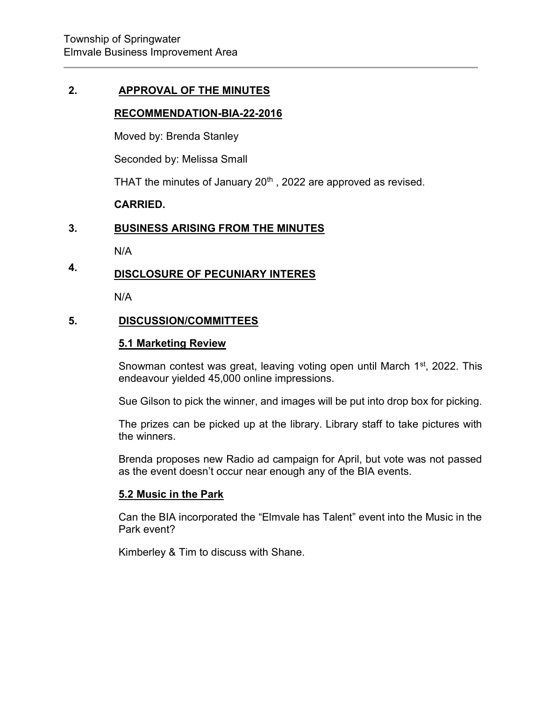### 2. APPROVAL OF THE MINUTES

#### RECOMMENDATION-BIA-22-2016

Moved by: Brenda Stanley

Seconded by: Melissa Small

THAT the minutes of January  $20<sup>th</sup>$ , 2022 are approved as revised.

### CARRIED.

#### 3. BUSINESS ARISING FROM THE MINUTES

N/A

#### 4. DISCLOSURE OF PECUNIARY INTERES

N/A

### 5. DISCUSSION/COMMITTEES

### 5.1 Marketing Review

Snowman contest was great, leaving voting open until March 1<sup>st</sup>, 2022. This endeavour yielded 45,000 online impressions.

Sue Gilson to pick the winner, and images will be put into drop box for picking.

The prizes can be picked up at the library. Library staff to take pictures with the winners.

Brenda proposes new Radio ad campaign for April, but vote was not passed as the event doesn't occur near enough any of the BIA events.

#### 5.2 Music in the Park

Can the BIA incorporated the "Elmvale has Talent" event into the Music in the Park event?

Kimberley & Tim to discuss with Shane.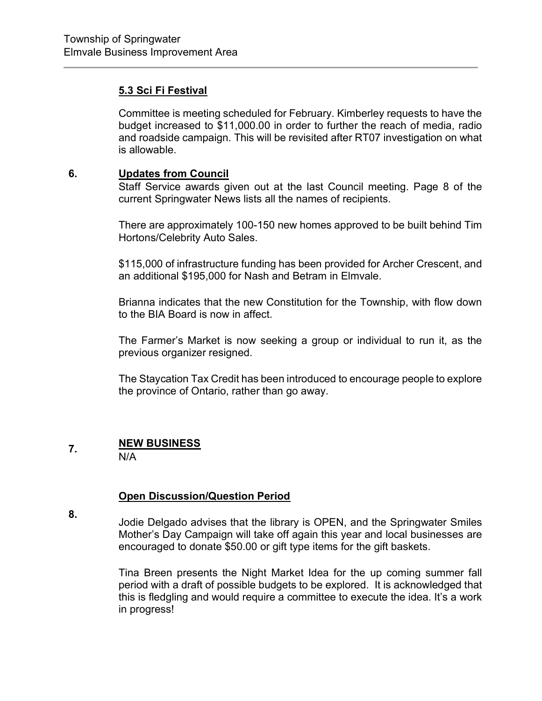# 5.3 Sci Fi Festival

Committee is meeting scheduled for February. Kimberley requests to have the budget increased to \$11,000.00 in order to further the reach of media, radio and roadside campaign. This will be revisited after RT07 investigation on what is allowable.

#### 6. Updates from Council

Staff Service awards given out at the last Council meeting. Page 8 of the current Springwater News lists all the names of recipients.

There are approximately 100-150 new homes approved to be built behind Tim Hortons/Celebrity Auto Sales.

\$115,000 of infrastructure funding has been provided for Archer Crescent, and an additional \$195,000 for Nash and Betram in Elmvale.

Brianna indicates that the new Constitution for the Township, with flow down to the BIA Board is now in affect.

The Farmer's Market is now seeking a group or individual to run it, as the previous organizer resigned.

The Staycation Tax Credit has been introduced to encourage people to explore the province of Ontario, rather than go away.

#### 7. NEW BUSINESS

N/A

# **Open Discussion/Question Period**

8.

Jodie Delgado advises that the library is OPEN, and the Springwater Smiles Mother's Day Campaign will take off again this year and local businesses are encouraged to donate \$50.00 or gift type items for the gift baskets.

Tina Breen presents the Night Market Idea for the up coming summer fall period with a draft of possible budgets to be explored. It is acknowledged that this is fledgling and would require a committee to execute the idea. It's a work in progress!